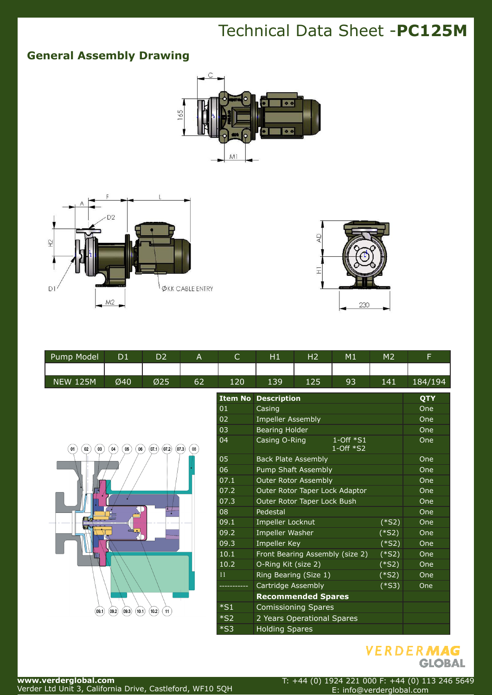## Technical Data Sheet -**PC125M**

## **General Assembly Drawing**







| Pump Model      | D1  | D2               |    | ◡   | Η1  | Η2  | M1 | M2  |         |
|-----------------|-----|------------------|----|-----|-----|-----|----|-----|---------|
|                 |     |                  |    |     |     |     |    |     |         |
| <b>NEW 125M</b> | Ø40 | $\varnothing$ 25 | 62 | 120 | 139 | 125 | 93 | 141 | 184/194 |



| <b>Item No</b> | <b>Description</b>                                 |                     | QTY |
|----------------|----------------------------------------------------|---------------------|-----|
| 01             | Casing                                             | One                 |     |
| 02             | <b>Impeller Assembly</b>                           |                     | One |
| 03             | <b>Bearing Holder</b>                              |                     | One |
| 04             | $1$ -Off $*S1$<br>Casing O-Ring<br>$1$ -Off $*$ S2 |                     | One |
| 05             | <b>Back Plate Assembly</b>                         | One                 |     |
| 06             | <b>Pump Shaft Assembly</b>                         | One                 |     |
| 07.1           | <b>Outer Rotor Assembly</b>                        | One                 |     |
| 07.2           | Outer Rotor Taper Lock Adaptor                     | One                 |     |
| 07.3           | Outer Rotor Taper Lock Bush                        | One                 |     |
| 08             | Pedestal                                           |                     | One |
| 09.1           | <b>Impeller Locknut</b>                            | $(*S2)$             | One |
| 09.2           | <b>Impeller Washer</b>                             | $(*S2)$             | One |
| 09.3           | <b>Impeller Key</b>                                | (*S2)               | One |
| 10.1           | Front Bearing Assembly (size 2)                    | $(\overline{$}$ s2) | One |
| 10.2           | O-Ring Kit (size 2)                                | $(*S2)$             | One |
| 11             | Ring Bearing (Size 1)                              | $(*S2)$             | One |
|                | Cartridge Assembly                                 | $(*S3)$             | One |
|                | <b>Recommended Spares</b>                          |                     |     |
| $*S1$          | <b>Comissioning Spares</b>                         |                     |     |
| $*_{S2}$       | 2 Years Operational Spares                         |                     |     |
| $*$ S3         | <b>Holding Spares</b>                              |                     |     |



**www.verderglobal.com** Verder Ltd Unit 3, California Drive, Castleford, WF10 5QH